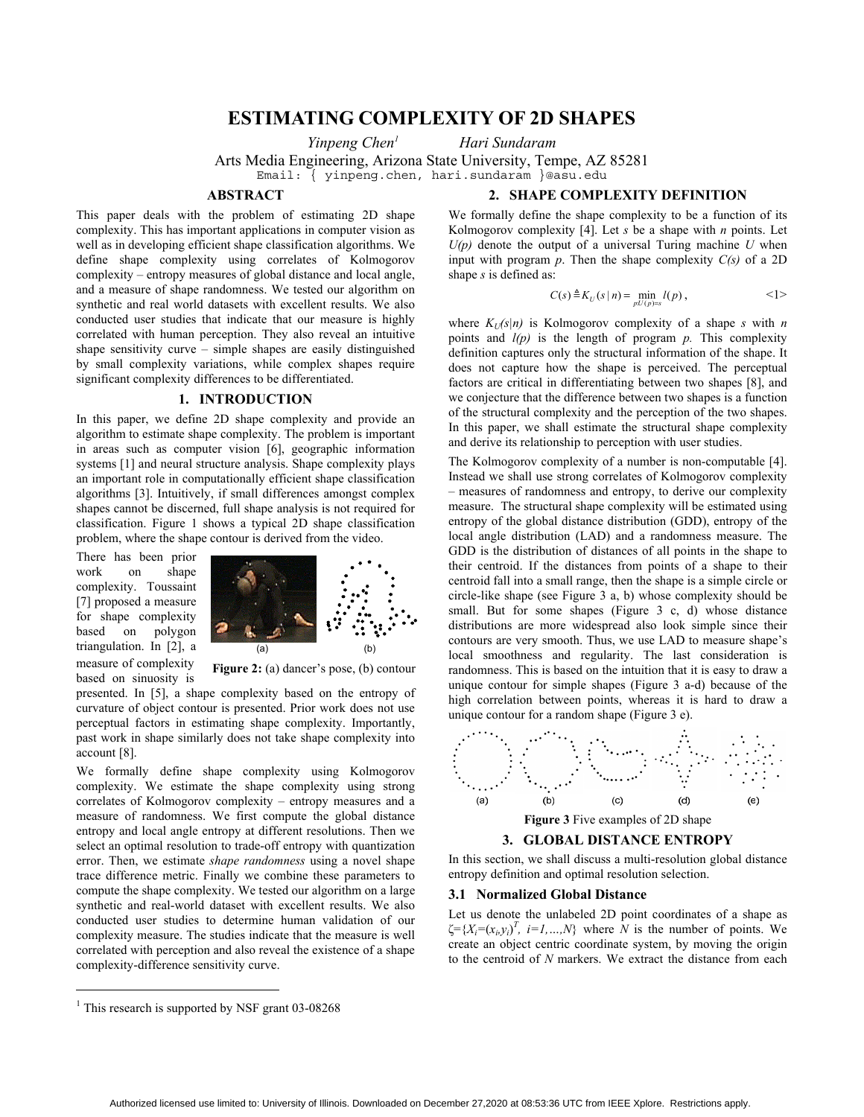# **ESTIMATING COMPLEXITY OF 2D SHAPES**

*Yinpeng Chen1*

 *Hari Sundaram* 

Arts Media Engineering, Arizona State University, Tempe, AZ 85281 Email: { yinpeng.chen, hari.sundaram }@asu.edu

# **ABSTRACT**

**2. SHAPE COMPLEXITY DEFINITION** 

This paper deals with the problem of estimating 2D shape complexity. This has important applications in computer vision as well as in developing efficient shape classification algorithms. We define shape complexity using correlates of Kolmogorov complexity – entropy measures of global distance and local angle, and a measure of shape randomness. We tested our algorithm on synthetic and real world datasets with excellent results. We also conducted user studies that indicate that our measure is highly correlated with human perception. They also reveal an intuitive shape sensitivity curve – simple shapes are easily distinguished by small complexity variations, while complex shapes require significant complexity differences to be differentiated.

# **1. INTRODUCTION**

In this paper, we define 2D shape complexity and provide an algorithm to estimate shape complexity. The problem is important in areas such as computer vision [6], geographic information systems [1] and neural structure analysis. Shape complexity plays an important role in computationally efficient shape classification algorithms [3]. Intuitively, if small differences amongst complex shapes cannot be discerned, full shape analysis is not required for classification. Figure 1 shows a typical 2D shape classification problem, where the shape contour is derived from the video.

There has been prior work on shape complexity. Toussaint [7] proposed a measure for shape complexity based on polygon triangulation. In [2], a measure of complexity based on sinuosity is

 $\overline{a}$ 



Figure 2: (a) dancer's pose, (b) contour

presented. In [5], a shape complexity based on the entropy of curvature of object contour is presented. Prior work does not use perceptual factors in estimating shape complexity. Importantly, past work in shape similarly does not take shape complexity into account [8].

We formally define shape complexity using Kolmogorov complexity. We estimate the shape complexity using strong correlates of Kolmogorov complexity – entropy measures and a measure of randomness. We first compute the global distance entropy and local angle entropy at different resolutions. Then we select an optimal resolution to trade-off entropy with quantization error. Then, we estimate *shape randomness* using a novel shape trace difference metric. Finally we combine these parameters to compute the shape complexity. We tested our algorithm on a large synthetic and real-world dataset with excellent results. We also conducted user studies to determine human validation of our complexity measure. The studies indicate that the measure is well correlated with perception and also reveal the existence of a shape complexity-difference sensitivity curve.

We formally define the shape complexity to be a function of its Kolmogorov complexity [4]. Let *s* be a shape with *n* points. Let  $U(p)$  denote the output of a universal Turing machine  $U$  when input with program  $p$ . Then the shape complexity  $C(s)$  of a 2D shape *s* is defined as:

$$
C(s) \triangleq K_U(s \mid n) = \min_{p:U(p)=s} l(p), \qquad \qquad \leq 1>
$$

where  $K_U(s|n)$  is Kolmogorov complexity of a shape *s* with *n* points and  $l(p)$  is the length of program  $p$ . This complexity definition captures only the structural information of the shape. It does not capture how the shape is perceived. The perceptual factors are critical in differentiating between two shapes [8], and we conjecture that the difference between two shapes is a function of the structural complexity and the perception of the two shapes. In this paper, we shall estimate the structural shape complexity and derive its relationship to perception with user studies.

The Kolmogorov complexity of a number is non-computable [4]. Instead we shall use strong correlates of Kolmogorov complexity – measures of randomness and entropy, to derive our complexity measure. The structural shape complexity will be estimated using entropy of the global distance distribution (GDD), entropy of the local angle distribution (LAD) and a randomness measure. The GDD is the distribution of distances of all points in the shape to their centroid. If the distances from points of a shape to their centroid fall into a small range, then the shape is a simple circle or circle-like shape (see Figure 3 a, b) whose complexity should be small. But for some shapes (Figure 3 c, d) whose distance distributions are more widespread also look simple since their contours are very smooth. Thus, we use LAD to measure shape's local smoothness and regularity. The last consideration is randomness. This is based on the intuition that it is easy to draw a unique contour for simple shapes (Figure 3 a-d) because of the high correlation between points, whereas it is hard to draw a unique contour for a random shape (Figure 3 e).



In this section, we shall discuss a multi-resolution global distance entropy definition and optimal resolution selection.

# **3.1 Normalized Global Distance**

Let us denote the unlabeled 2D point coordinates of a shape as  $\zeta = \{X_i = (x_i, y_i)^T, i = 1, ..., N\}$  where  $N$  is the number of points. We create an object centric coordinate system, by moving the origin to the centroid of *N* markers. We extract the distance from each

<sup>&</sup>lt;sup>1</sup> This research is supported by NSF grant 03-08268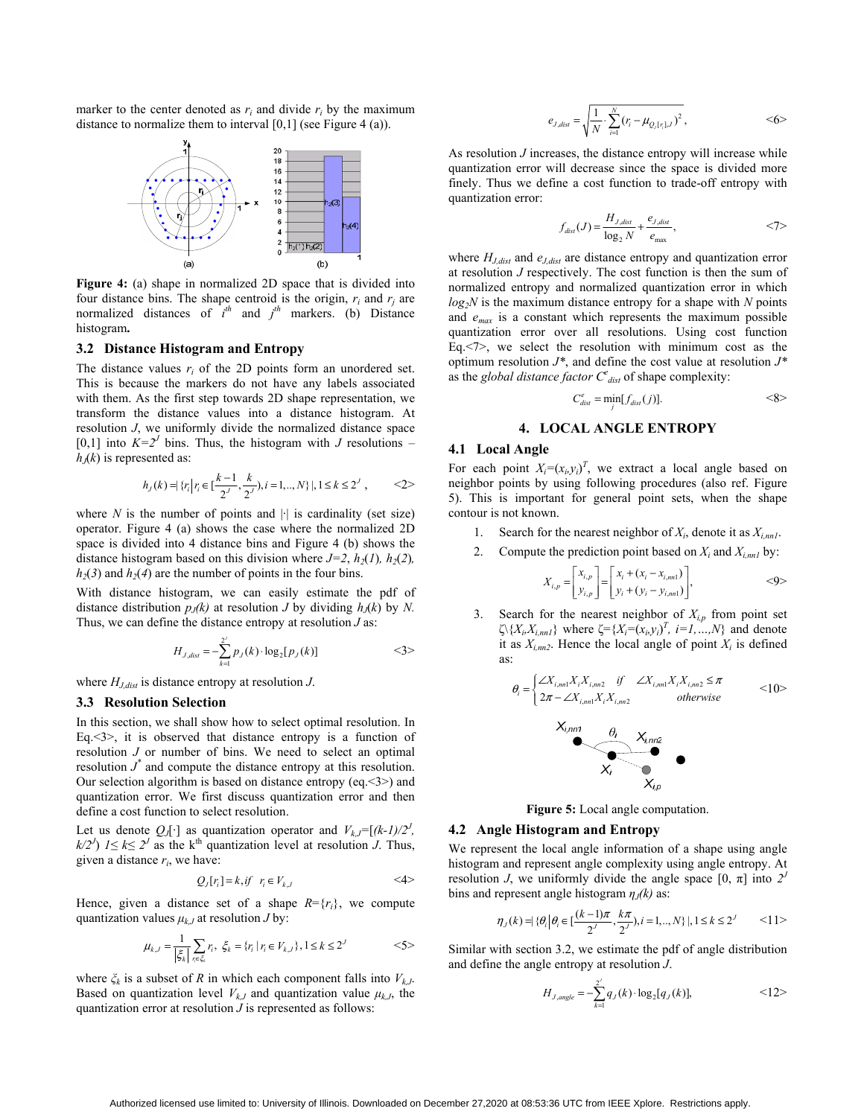marker to the center denoted as  $r_i$  and divide  $r_i$  by the maximum distance to normalize them to interval [0,1] (see Figure 4 (a)).



**Figure 4:** (a) shape in normalized 2D space that is divided into four distance bins. The shape centroid is the origin,  $r_i$  and  $r_j$  are normalized distances of  $i^{th}$  and  $j^{th}$  markers. (b) Distance histogram**.** 

## **3.2 Distance Histogram and Entropy**

The distance values *ri* of the 2D points form an unordered set. This is because the markers do not have any labels associated with them. As the first step towards 2D shape representation, we transform the distance values into a distance histogram. At resolution *J*, we uniformly divide the normalized distance space [0,1] into  $K=2^J$  bins. Thus, the histogram with *J* resolutions –  $h<sub>J</sub>(k)$  is represented as:

$$
h_J(k) = \{r_i \mid r_i \in [\frac{k-1}{2^J}, \frac{k}{2^J}), i = 1, ..., N\} \mid, 1 \le k \le 2^J, \qquad \langle 2 \rangle
$$

where  $N$  is the number of points and  $|\cdot|$  is cardinality (set size) operator. Figure 4 (a) shows the case where the normalized 2D space is divided into 4 distance bins and Figure 4 (b) shows the distance histogram based on this division where  $J=2$ ,  $h_2(I)$ ,  $h_2(2)$ ,  $h_2(3)$  and  $h_2(4)$  are the number of points in the four bins.

With distance histogram, we can easily estimate the pdf of distance distribution  $p_J(k)$  at resolution *J* by dividing  $h_J(k)$  by *N*. Thus, we can define the distance entropy at resolution *J* as:

$$
H_{J,dist} = -\sum_{k=1}^{2^j} p_J(k) \cdot \log_2[p_J(k)] \qquad \qquad \leq 3 > \qquad
$$

where *HJ,dist* is distance entropy at resolution *J*.

#### **3.3 Resolution Selection**

In this section, we shall show how to select optimal resolution. In Eq.<3>, it is observed that distance entropy is a function of resolution *J* or number of bins. We need to select an optimal resolution  $J^*$  and compute the distance entropy at this resolution. Our selection algorithm is based on distance entropy (eq.<3>) and quantization error. We first discuss quantization error and then define a cost function to select resolution.

Let us denote  $Q_J[\cdot]$  as quantization operator and  $V_{k,J}=[(k-1)/2^J]$ ,  $k/2^j$   $1 \le k \le 2^j$  as the k<sup>th</sup> quantization level at resolution *J*. Thus, given a distance  $r_i$ , we have:

$$
Q_J[r_i] = k, if \quad r_i \in V_{k,J} \tag{4}
$$

Hence, given a distance set of a shape  $R = {r_i}$ , we compute quantization values  $\mu_{k,J}$  at resolution *J* by:

$$
\mu_{k,J} = \frac{1}{|\xi_k|} \sum_{r \in \xi_k} r_i, \ \xi_k = \{r_i \mid r_i \in V_{k,J}\}, 1 \le k \le 2^J
$$
  $\le 5>$ 

where  $\zeta_k$  is a subset of *R* in which each component falls into  $V_{k,J}$ . Based on quantization level  $V_{kJ}$  and quantization value  $\mu_{kJ}$ , the quantization error at resolution *J* is represented as follows:

$$
e_{J,dist} = \sqrt{\frac{1}{N} \sum_{i=1}^{N} (r_i - \mu_{Q_J[r_i],J})^2}, \qquad \qquad \leq 6 >
$$

As resolution *J* increases, the distance entropy will increase while quantization error will decrease since the space is divided more finely. Thus we define a cost function to trade-off entropy with quantization error:

$$
f_{dist}(J) = \frac{H_{J,dist}}{\log_2 N} + \frac{e_{J,dist}}{e_{\max}},
$$
  $\langle 7 \rangle$ 

where  $H_{J,dist}$  and  $e_{J,dist}$  are distance entropy and quantization error at resolution *J* respectively. The cost function is then the sum of normalized entropy and normalized quantization error in which *log2N* is the maximum distance entropy for a shape with *N* points and *emax* is a constant which represents the maximum possible quantization error over all resolutions. Using cost function Eq.<7>, we select the resolution with minimum cost as the optimum resolution *J\**, and define the cost value at resolution *J\** as the *global distance factor*  $C_{\text{dist}}^e$  of shape complexity:

$$
C_{dist}^e = \min_j[f_{dist}(j)].
$$
  $<8>$ 

# **4. LOCAL ANGLE ENTROPY**

## **4.1 Local Angle**

For each point  $X_i = (x_i, y_i)^T$ , we extract a local angle based on neighbor points by using following procedures (also ref. Figure 5). This is important for general point sets, when the shape contour is not known.

- 1. Search for the nearest neighbor of  $X_i$ , denote it as  $X_{i,nnl}$ .
- 2. Compute the prediction point based on  $X_i$  and  $X_{i,nnl}$  by:

$$
X_{i,p} = \begin{bmatrix} x_{i,p} \\ y_{i,p} \end{bmatrix} = \begin{bmatrix} x_i + (x_i - x_{i, mn1}) \\ y_i + (y_i - y_{i, mn1}) \end{bmatrix},
$$
  $<9>$ 

Search for the nearest neighbor of  $X_{i,p}$  from point set  $\left\langle \left\langle X_i, X_{i,mn}\right\rangle \right\rangle$  where  $\left\langle \left\langle = \left\langle X_i = (x_i, y_i) \right\rangle^T, i = 1, ..., N \right\rangle$  and denote it as  $X_{i, mn2}$ . Hence the local angle of point  $X_i$  is defined as:

$$
\theta_{i} = \begin{cases} \angle X_{i,m1} X_{i} X_{i,m2} & \text{if } \angle X_{i,m1} X_{i} X_{i,m2} \le \pi \\ 2\pi - \angle X_{i,m1} X_{i} X_{i,m2} & \text{otherwise} \end{cases} \tag{10}
$$



**Figure 5:** Local angle computation.

## **4.2 Angle Histogram and Entropy**

We represent the local angle information of a shape using angle histogram and represent angle complexity using angle entropy. At resolution *J*, we uniformly divide the angle space  $[0, \pi]$  into  $2^{j}$ bins and represent angle histogram *ηJ(k)* as:

$$
\eta_J(k) = |\Theta_i| \theta_i \in \left[\frac{(k-1)\pi}{2}, \frac{k\pi}{2}, i = 1, ..., N\right], 1 \le k \le 2^J \qquad \le 11>
$$

Similar with section 3.2, we estimate the pdf of angle distribution and define the angle entropy at resolution *J*.

$$
H_{J,angle} = -\sum_{k=1}^{2'} q_J(k) \cdot \log_2[q_J(k)],
$$
  $<12>$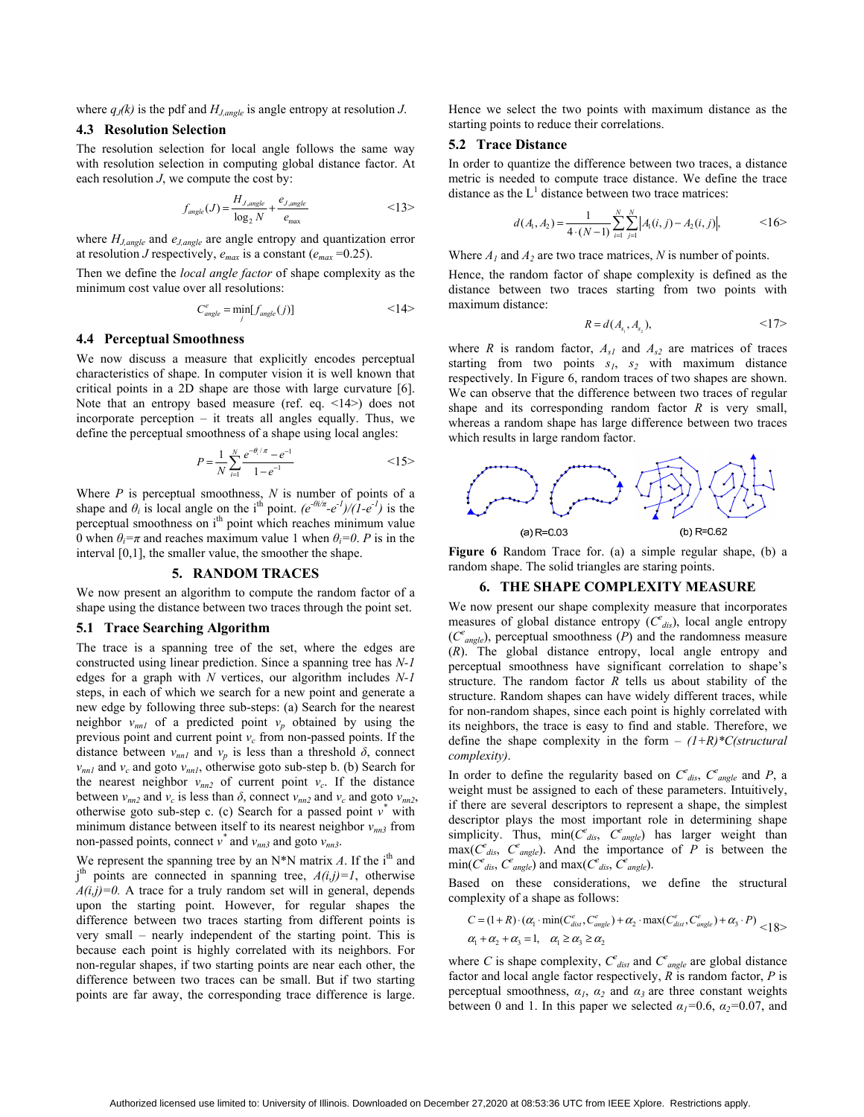where  $q_J(k)$  is the pdf and  $H_{J,angle}$  is angle entropy at resolution *J*.

# **4.3 Resolution Selection**

The resolution selection for local angle follows the same way with resolution selection in computing global distance factor. At each resolution *J*, we compute the cost by:

$$
f_{angle}(J) = \frac{H_{J,angle}}{\log_2 N} + \frac{e_{J,angle}}{e_{\max}} \tag{13}
$$

where  $H_{J,angle}$  and  $e_{J,angle}$  are angle entropy and quantization error at resolution *J* respectively,  $e_{max}$  is a constant ( $e_{max}$  =0.25).

Then we define the *local angle factor* of shape complexity as the minimum cost value over all resolutions:

$$
C_{angle}^e = \min_j[f_{angle}(j)]
$$
  $<14>$ 

## **4.4 Perceptual Smoothness**

We now discuss a measure that explicitly encodes perceptual characteristics of shape. In computer vision it is well known that critical points in a 2D shape are those with large curvature [6]. Note that an entropy based measure (ref. eq. <14>) does not incorporate perception – it treats all angles equally. Thus, we define the perceptual smoothness of a shape using local angles:

$$
P = \frac{1}{N} \sum_{i=1}^{N} \frac{e^{-\theta_i/\pi} - e^{-1}}{1 - e^{-1}} \tag{15}
$$

Where *P* is perceptual smoothness, *N* is number of points of a shape and  $\theta_i$  is local angle on the i<sup>th</sup> point.  $(e^{-\theta i/\pi} - e^{-1})/(1 - e^{-1})$  is the perceptual smoothness on i<sup>th</sup> point which reaches minimum value 0 when  $\theta_i = \pi$  and reaches maximum value 1 when  $\theta_i = 0$ . *P* is in the interval [0,1], the smaller value, the smoother the shape.

## **5. RANDOM TRACES**

We now present an algorithm to compute the random factor of a shape using the distance between two traces through the point set.

#### **5.1 Trace Searching Algorithm**

The trace is a spanning tree of the set, where the edges are constructed using linear prediction. Since a spanning tree has *N-1* edges for a graph with *N* vertices, our algorithm includes *N-1* steps, in each of which we search for a new point and generate a new edge by following three sub-steps: (a) Search for the nearest neighbor  $v_{nnl}$  of a predicted point  $v_p$  obtained by using the previous point and current point  $v_c$  from non-passed points. If the distance between  $v_{nnl}$  and  $v_p$  is less than a threshold  $\delta$ , connect  $v_{nn1}$  and  $v_c$  and goto  $v_{nn1}$ , otherwise goto sub-step b. (b) Search for the nearest neighbor  $v_{nn2}$  of current point  $v_c$ . If the distance between  $v_{nn2}$  and  $v_c$  is less than  $\delta$ , connect  $v_{nn2}$  and  $v_c$  and goto  $v_{nn2}$ , otherwise goto sub-step c. (c) Search for a passed point  $v^*$  with minimum distance between itself to its nearest neighbor  $v_{nn3}$  from non-passed points, connect  $v^*$  and  $v_{nn3}$  and goto  $v_{nn3}$ .

We represent the spanning tree by an  $N^*N$  matrix *A*. If the i<sup>th</sup> and  $j<sup>th</sup>$  points are connected in spanning tree,  $A(i,j)=1$ , otherwise  $A(i,j)=0$ . A trace for a truly random set will in general, depends upon the starting point. However, for regular shapes the difference between two traces starting from different points is very small – nearly independent of the starting point. This is because each point is highly correlated with its neighbors. For non-regular shapes, if two starting points are near each other, the difference between two traces can be small. But if two starting points are far away, the corresponding trace difference is large.

Hence we select the two points with maximum distance as the starting points to reduce their correlations.

#### **5.2 Trace Distance**

In order to quantize the difference between two traces, a distance metric is needed to compute trace distance. We define the trace distance as the  $L^1$  distance between two trace matrices:

$$
d(A_1, A_2) = \frac{1}{4 \cdot (N-1)} \sum_{i=1}^{N} \sum_{j=1}^{N} |A_1(i, j) - A_2(i, j)|, \qquad \qquad \leq 16 >
$$

Where  $A_1$  and  $A_2$  are two trace matrices, N is number of points.

Hence, the random factor of shape complexity is defined as the distance between two traces starting from two points with maximum distance:

$$
R = d(A_{s_1}, A_{s_2}), \qquad \qquad \leq 17>
$$

where *R* is random factor,  $A_{s1}$  and  $A_{s2}$  are matrices of traces starting from two points  $s_1$ ,  $s_2$  with maximum distance respectively. In Figure 6, random traces of two shapes are shown. We can observe that the difference between two traces of regular shape and its corresponding random factor *R* is very small, whereas a random shape has large difference between two traces which results in large random factor.



**Figure 6** Random Trace for. (a) a simple regular shape, (b) a random shape. The solid triangles are staring points.

## **6. THE SHAPE COMPLEXITY MEASURE**

We now present our shape complexity measure that incorporates measures of global distance entropy (*Ce dis*), local angle entropy  $(C<sup>e</sup><sub>angle</sub>)$ , perceptual smoothness  $(P)$  and the randomness measure (*R*). The global distance entropy, local angle entropy and perceptual smoothness have significant correlation to shape's structure. The random factor *R* tells us about stability of the structure. Random shapes can have widely different traces, while for non-random shapes, since each point is highly correlated with its neighbors, the trace is easy to find and stable. Therefore, we define the shape complexity in the form – *(1+R)\*C(structural complexity)*.

In order to define the regularity based on  $C_{dis}^e$ ,  $C_{angle}^e$  and *P*, a weight must be assigned to each of these parameters. Intuitively, if there are several descriptors to represent a shape, the simplest descriptor plays the most important role in determining shape simplicity. Thus,  $\min(C_{dis}^e, \ C_{angle}^e)$  has larger weight than  $\max(C_{\text{dis}}^e, C_{\text{angle}}^e)$ . And the importance of *P* is between the  $\min(C^e_{\text{dis}}, C^e_{\text{angle}})$  and  $\max(C^e_{\text{dis}}, C^e_{\text{angle}})$ .

Based on these considerations, we define the structural complexity of a shape as follows:

$$
C = (1+R) \cdot (\alpha_1 \cdot \min(C_{dist}^e, C_{angle}^e) + \alpha_2 \cdot \max(C_{dist}^e, C_{angle}^e) + \alpha_3 \cdot P) \n\alpha_1 + \alpha_2 + \alpha_3 = 1, \quad \alpha_1 \ge \alpha_3 \ge \alpha_2
$$

where *C* is shape complexity,  $C^e_{\text{dist}}$  and  $C^e_{\text{angle}}$  are global distance factor and local angle factor respectively, *R* is random factor, *P* is perceptual smoothness,  $\alpha_1$ ,  $\alpha_2$  and  $\alpha_3$  are three constant weights between 0 and 1. In this paper we selected  $\alpha_1 = 0.6$ ,  $\alpha_2 = 0.07$ , and